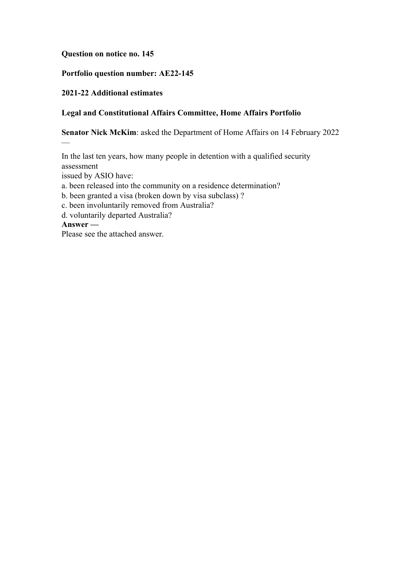### **Question on notice no. 145**

## **Portfolio question number: AE22-145**

## **2021-22 Additional estimates**

—

## **Legal and Constitutional Affairs Committee, Home Affairs Portfolio**

**Senator Nick McKim**: asked the Department of Home Affairs on 14 February 2022

In the last ten years, how many people in detention with a qualified security assessment issued by ASIO have: a. been released into the community on a residence determination? b. been granted a visa (broken down by visa subclass) ? c. been involuntarily removed from Australia? d. voluntarily departed Australia? **Answer —** Please see the attached answer.